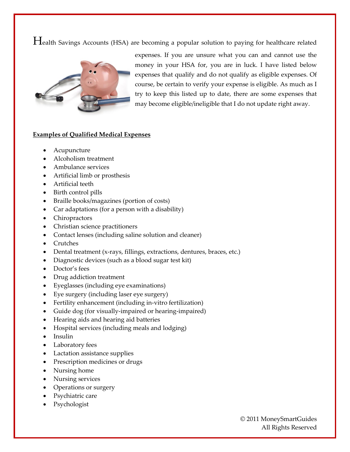Health Savings Accounts (HSA) are becoming a popular solution to paying for healthcare related



expenses. If you are unsure what you can and cannot use the money in your HSA for, you are in luck. I have listed below expenses that qualify and do not qualify as eligible expenses. Of course, be certain to verify your expense is eligible. As much as I try to keep this listed up to date, there are some expenses that may become eligible/ineligible that I do not update right away.

## **Examples of Qualified Medical Expenses**

- Acupuncture
- Alcoholism treatment
- Ambulance services
- Artificial limb or prosthesis
- Artificial teeth
- Birth control pills
- Braille books/magazines (portion of costs)
- Car adaptations (for a person with a disability)
- Chiropractors
- Christian science practitioners
- Contact lenses (including saline solution and cleaner)
- Crutches
- Dental treatment (x-rays, fillings, extractions, dentures, braces, etc.)
- Diagnostic devices (such as a blood sugar test kit)
- Doctor's fees
- Drug addiction treatment
- Eyeglasses (including eye examinations)
- Eye surgery (including laser eye surgery)
- Fertility enhancement (including in-vitro fertilization)
- Guide dog (for visually-impaired or hearing-impaired)
- Hearing aids and hearing aid batteries
- Hospital services (including meals and lodging)
- Insulin
- Laboratory fees
- Lactation assistance supplies
- Prescription medicines or drugs
- Nursing home
- Nursing services
- Operations or surgery
- Psychiatric care
- Psychologist

© 2011 MoneySmartGuides All Rights Reserved